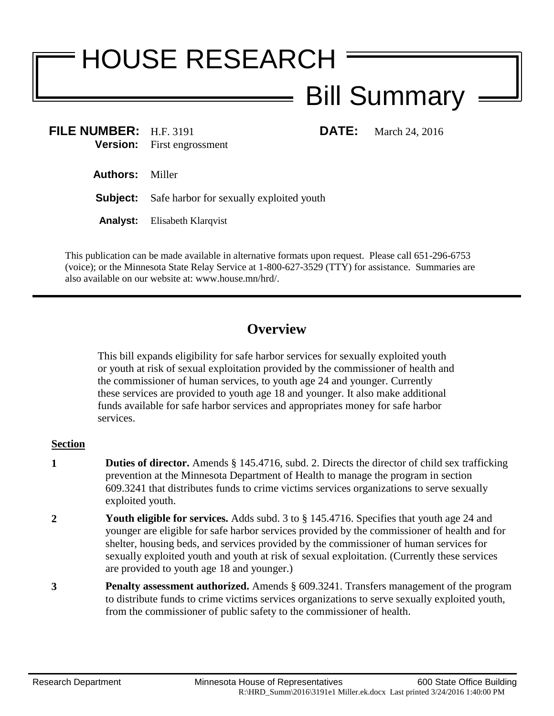## HOUSE RESEARCH Bill Summary

**FILE NUMBER:** H.F. 3191 **DATE:** March 24, 2016 **Version:** First engrossment

**Authors:** Miller

**Subject:** Safe harbor for sexually exploited youth

**Analyst:** Elisabeth Klarqvist

This publication can be made available in alternative formats upon request. Please call 651-296-6753 (voice); or the Minnesota State Relay Service at 1-800-627-3529 (TTY) for assistance. Summaries are also available on our website at: www.house.mn/hrd/.

## **Overview**

This bill expands eligibility for safe harbor services for sexually exploited youth or youth at risk of sexual exploitation provided by the commissioner of health and the commissioner of human services, to youth age 24 and younger. Currently these services are provided to youth age 18 and younger. It also make additional funds available for safe harbor services and appropriates money for safe harbor services.

## **Section**

- **1 Duties of director.** Amends § 145.4716, subd. 2. Directs the director of child sex trafficking prevention at the Minnesota Department of Health to manage the program in section 609.3241 that distributes funds to crime victims services organizations to serve sexually exploited youth.
- **2 Youth eligible for services.** Adds subd. 3 to § 145.4716. Specifies that youth age 24 and younger are eligible for safe harbor services provided by the commissioner of health and for shelter, housing beds, and services provided by the commissioner of human services for sexually exploited youth and youth at risk of sexual exploitation. (Currently these services are provided to youth age 18 and younger.)
- **3 Penalty assessment authorized.** Amends § 609.3241. Transfers management of the program to distribute funds to crime victims services organizations to serve sexually exploited youth, from the commissioner of public safety to the commissioner of health.